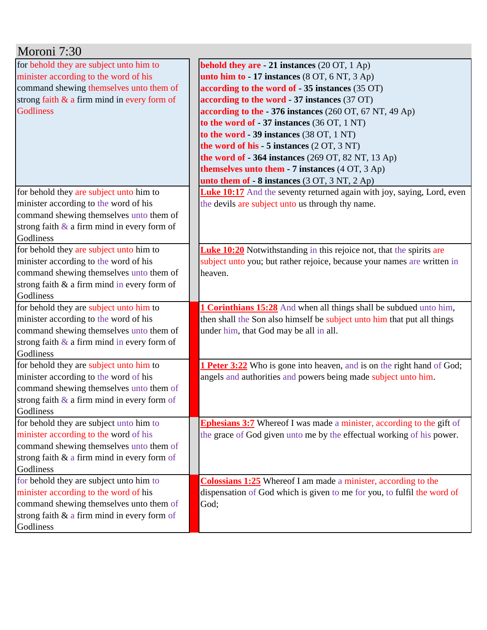| Moroni 7:30                                    |                                                                               |
|------------------------------------------------|-------------------------------------------------------------------------------|
| for behold they are subject unto him to        | behold they are $-21$ instances (20 OT, 1 Ap)                                 |
| minister according to the word of his          | unto him to $-17$ instances $(8$ OT, $6$ NT, $3$ Ap)                          |
| command shewing themselves unto them of        | according to the word of - 35 instances (35 OT)                               |
| strong faith $\&$ a firm mind in every form of | according to the word - 37 instances (37 OT)                                  |
| <b>Godliness</b>                               | according to the - 376 instances (260 OT, 67 NT, 49 Ap)                       |
|                                                | to the word of $-37$ instances (36 OT, 1 NT)                                  |
|                                                | to the word - 39 instances (38 OT, 1 NT)                                      |
|                                                | the word of his $-5$ instances $(2 OT, 3 NT)$                                 |
|                                                | the word of $-364$ instances (269 OT, 82 NT, 13 Ap)                           |
|                                                | <b>themselves unto them - 7 instances</b> (4 OT, 3 Ap)                        |
|                                                | unto them of $-8$ instances $(3 OT, 3 NT, 2 Ap)$                              |
| for behold they are subject unto him to        | <b>Luke 10:17</b> And the seventy returned again with joy, saying, Lord, even |
| minister according to the word of his          | the devils are subject unto us through thy name.                              |
| command shewing themselves unto them of        |                                                                               |
| strong faith $\&$ a firm mind in every form of |                                                                               |
| Godliness                                      |                                                                               |
| for behold they are subject unto him to        | <b>Luke 10:20</b> Notwithstanding in this rejoice not, that the spirits are   |
| minister according to the word of his          | subject unto you; but rather rejoice, because your names are written in       |
| command shewing themselves unto them of        | heaven.                                                                       |
| strong faith & a firm mind in every form of    |                                                                               |
| Godliness                                      |                                                                               |
| for behold they are subject unto him to        | <b>1 Corinthians 15:28</b> And when all things shall be subdued unto him,     |
| minister according to the word of his          | then shall the Son also himself be subject unto him that put all things       |
| command shewing themselves unto them of        | under him, that God may be all in all.                                        |
| strong faith $\&$ a firm mind in every form of |                                                                               |
| Godliness                                      |                                                                               |
| for behold they are subject unto him to        | <b>1 Peter 3:22</b> Who is gone into heaven, and is on the right hand of God; |
| minister according to the word of his          | angels and authorities and powers being made subject unto him.                |
| command shewing themselves unto them of        |                                                                               |
| strong faith $\&$ a firm mind in every form of |                                                                               |
| Godliness                                      |                                                                               |
| for behold they are subject unto him to        | <b>Ephesians 3:7</b> Whereof I was made a minister, according to the gift of  |
| minister according to the word of his          | the grace of God given unto me by the effectual working of his power.         |
| command shewing themselves unto them of        |                                                                               |
| strong faith $\&$ a firm mind in every form of |                                                                               |
| Godliness                                      |                                                                               |
| for behold they are subject unto him to        | <b>Colossians 1:25</b> Whereof I am made a minister, according to the         |
| minister according to the word of his          | dispensation of God which is given to me for you, to fulfil the word of       |
| command shewing themselves unto them of        | God;                                                                          |
| strong faith & a firm mind in every form of    |                                                                               |
| Godliness                                      |                                                                               |